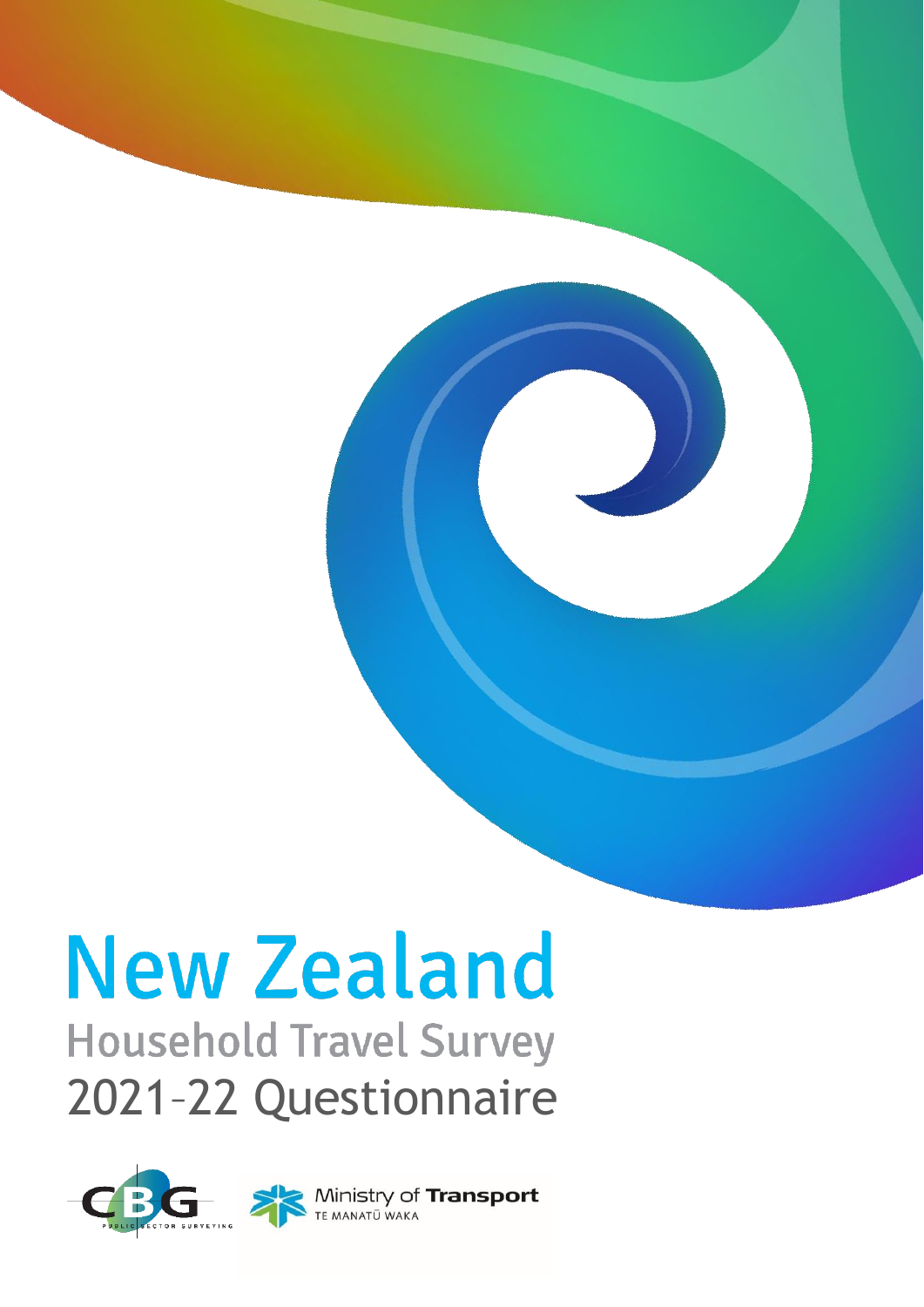# **New Zealand**

# **Household Travel Survey** 2021–22 Questionnaire

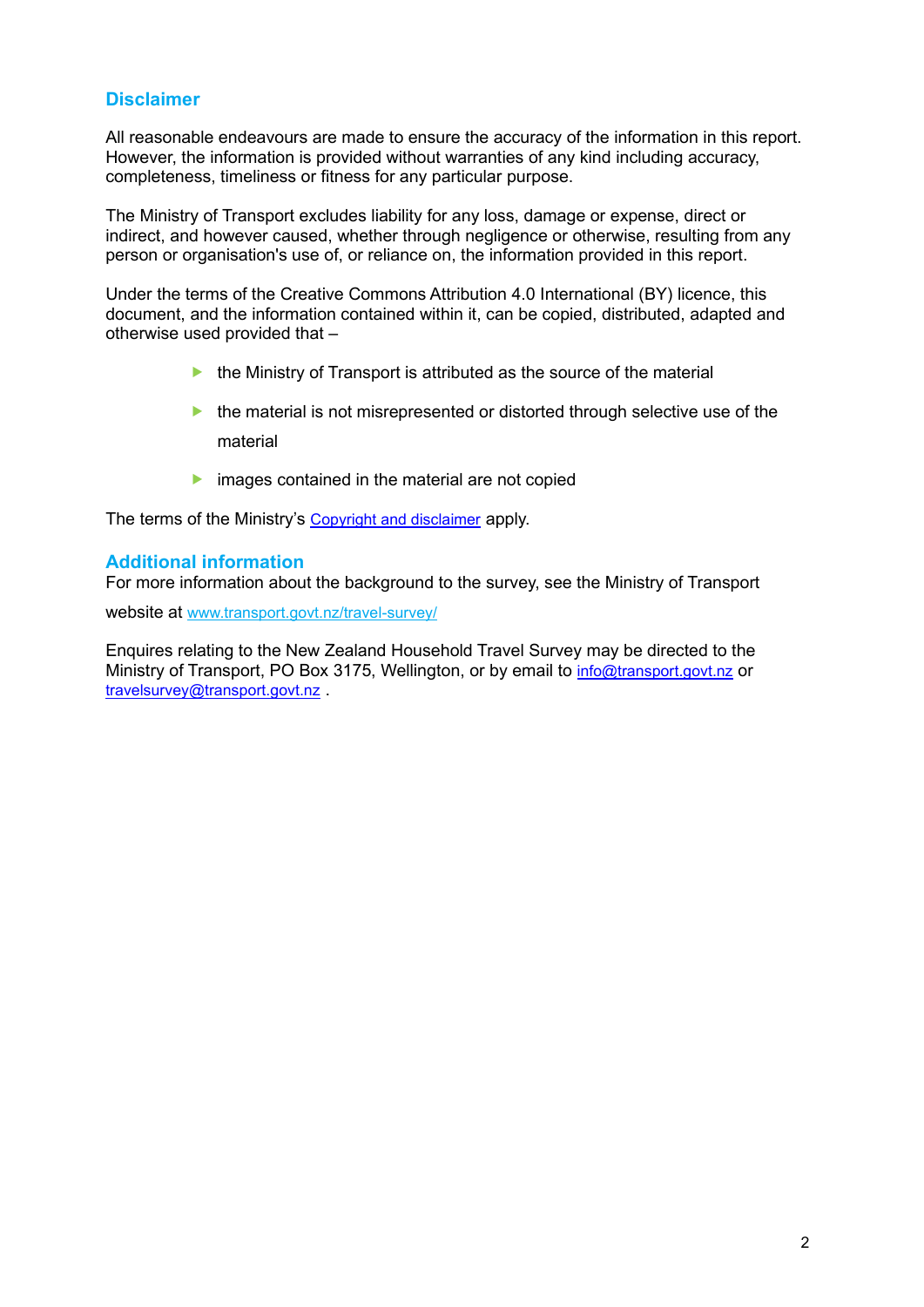### **Disclaimer**

All reasonable endeavours are made to ensure the accuracy of the information in this report. However, the information is provided without warranties of any kind including accuracy, completeness, timeliness or fitness for any particular purpose.

The Ministry of Transport excludes liability for any loss, damage or expense, direct or indirect, and however caused, whether through negligence or otherwise, resulting from any person or organisation's use of, or reliance on, the information provided in this report.

Under the terms of the Creative Commons Attribution 4.0 International (BY) licence, this document, and the information contained within it, can be copied, distributed, adapted and otherwise used provided that –

- $\blacktriangleright$  the Ministry of Transport is attributed as the source of the material
- $\blacktriangleright$  the material is not misrepresented or distorted through selective use of the material
- $\blacktriangleright$  images contained in the material are not copied

The terms of the Ministry's [Copyright and disclaimer](https://www.transport.govt.nz/copyright-and-disclaimer/) apply.

#### **Additional information**

For more information about the background to the survey, see the Ministry of Transport

website at [www.transport.govt.nz/travel-survey/](https://www.transport.govt.nz/mot-resources/household-travel-survey/)

Enquires relating to the New Zealand Household Travel Survey may be directed to the Ministry of Transport, PO Box 3175, Wellington, or by email to [info@transport.govt.nz](mailto:info@transport.govt.nz) or [travelsurvey@transport.govt.nz](mailto:travelsurvey@transport.govt.nz) .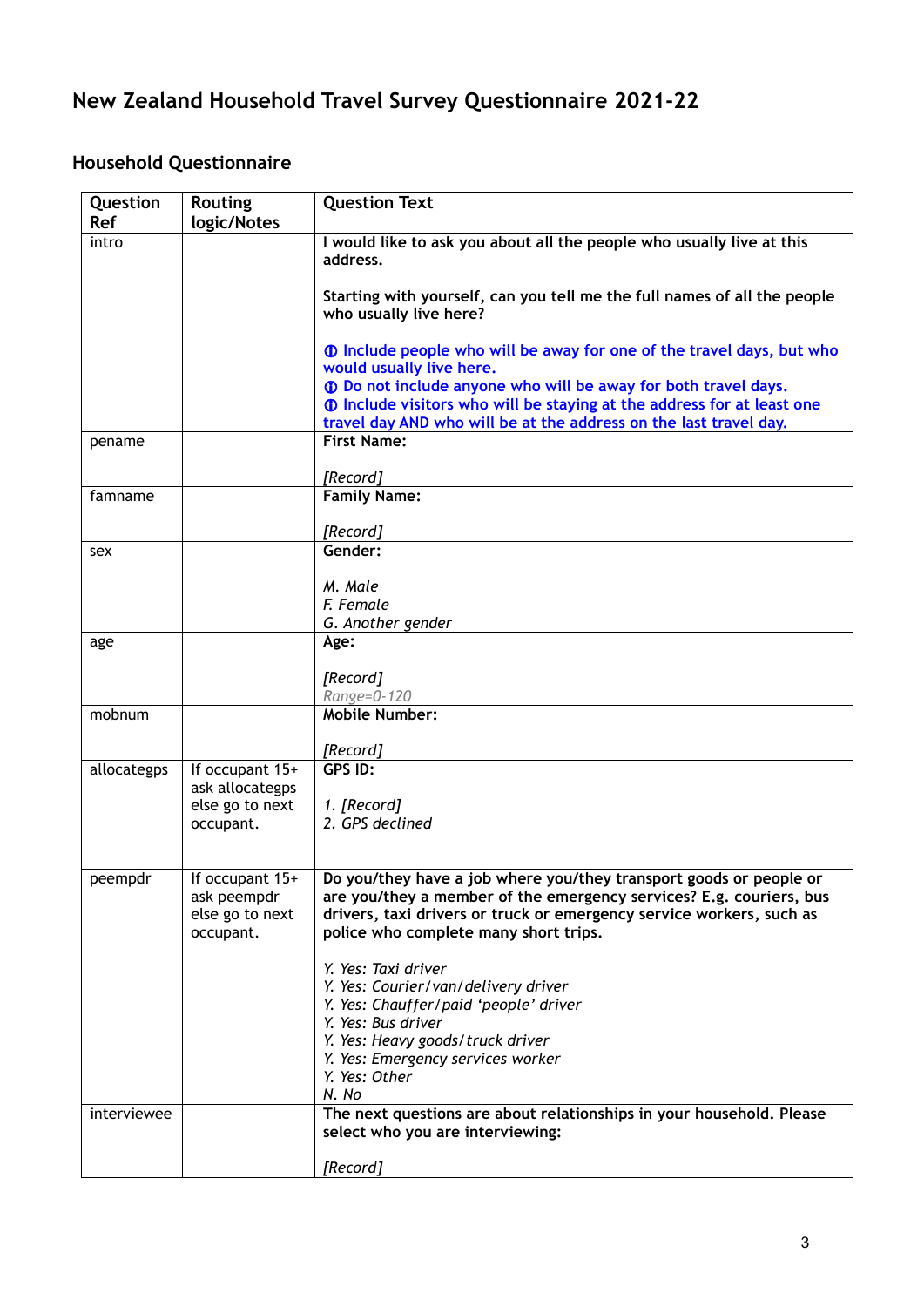# **New Zealand Household Travel Survey Questionnaire 2021-22**

# **Household Questionnaire**

| Question<br>Ref | <b>Routing</b><br>logic/Notes                                  | <b>Question Text</b>                                                                                                                                                                                                                                       |
|-----------------|----------------------------------------------------------------|------------------------------------------------------------------------------------------------------------------------------------------------------------------------------------------------------------------------------------------------------------|
| intro           |                                                                | I would like to ask you about all the people who usually live at this<br>address.                                                                                                                                                                          |
|                 |                                                                | Starting with yourself, can you tell me the full names of all the people<br>who usually live here?                                                                                                                                                         |
|                 |                                                                | 10 Include people who will be away for one of the travel days, but who<br>would usually live here.                                                                                                                                                         |
|                 |                                                                | 10 Do not include anyone who will be away for both travel days.<br><b>1</b> Include visitors who will be staying at the address for at least one<br>travel day AND who will be at the address on the last travel day.                                      |
| pename          |                                                                | <b>First Name:</b>                                                                                                                                                                                                                                         |
| famname         |                                                                | [Record]<br><b>Family Name:</b>                                                                                                                                                                                                                            |
|                 |                                                                |                                                                                                                                                                                                                                                            |
|                 |                                                                | [Record]                                                                                                                                                                                                                                                   |
| sex             |                                                                | Gender:                                                                                                                                                                                                                                                    |
|                 |                                                                | M. Male                                                                                                                                                                                                                                                    |
|                 |                                                                | F. Female                                                                                                                                                                                                                                                  |
| age             |                                                                | G. Another gender<br>Age:                                                                                                                                                                                                                                  |
|                 |                                                                |                                                                                                                                                                                                                                                            |
|                 |                                                                | [Record]                                                                                                                                                                                                                                                   |
|                 |                                                                | Range=0-120<br><b>Mobile Number:</b>                                                                                                                                                                                                                       |
| mobnum          |                                                                |                                                                                                                                                                                                                                                            |
|                 |                                                                | [Record]                                                                                                                                                                                                                                                   |
| allocategps     | If occupant 15+                                                | GPS ID:                                                                                                                                                                                                                                                    |
|                 | ask allocategps<br>else go to next                             | 1. [Record]                                                                                                                                                                                                                                                |
|                 | occupant.                                                      | 2. GPS declined                                                                                                                                                                                                                                            |
|                 |                                                                |                                                                                                                                                                                                                                                            |
| peempdr         | If occupant 15+<br>ask peempdr<br>else go to next<br>occupant. | Do you/they have a job where you/they transport goods or people or<br>are you/they a member of the emergency services? E.g. couriers, bus<br>drivers, taxi drivers or truck or emergency service workers, such as<br>police who complete many short trips. |
|                 |                                                                | Y. Yes: Taxi driver                                                                                                                                                                                                                                        |
|                 |                                                                | Y. Yes: Courier/van/delivery driver<br>Y. Yes: Chauffer/paid 'people' driver                                                                                                                                                                               |
|                 |                                                                | Y. Yes: Bus driver                                                                                                                                                                                                                                         |
|                 |                                                                | Y. Yes: Heavy goods/truck driver                                                                                                                                                                                                                           |
|                 |                                                                | Y. Yes: Emergency services worker<br>Y. Yes: Other                                                                                                                                                                                                         |
| interviewee     |                                                                | N. No<br>The next questions are about relationships in your household. Please                                                                                                                                                                              |
|                 |                                                                | select who you are interviewing:                                                                                                                                                                                                                           |
|                 |                                                                | [Record]                                                                                                                                                                                                                                                   |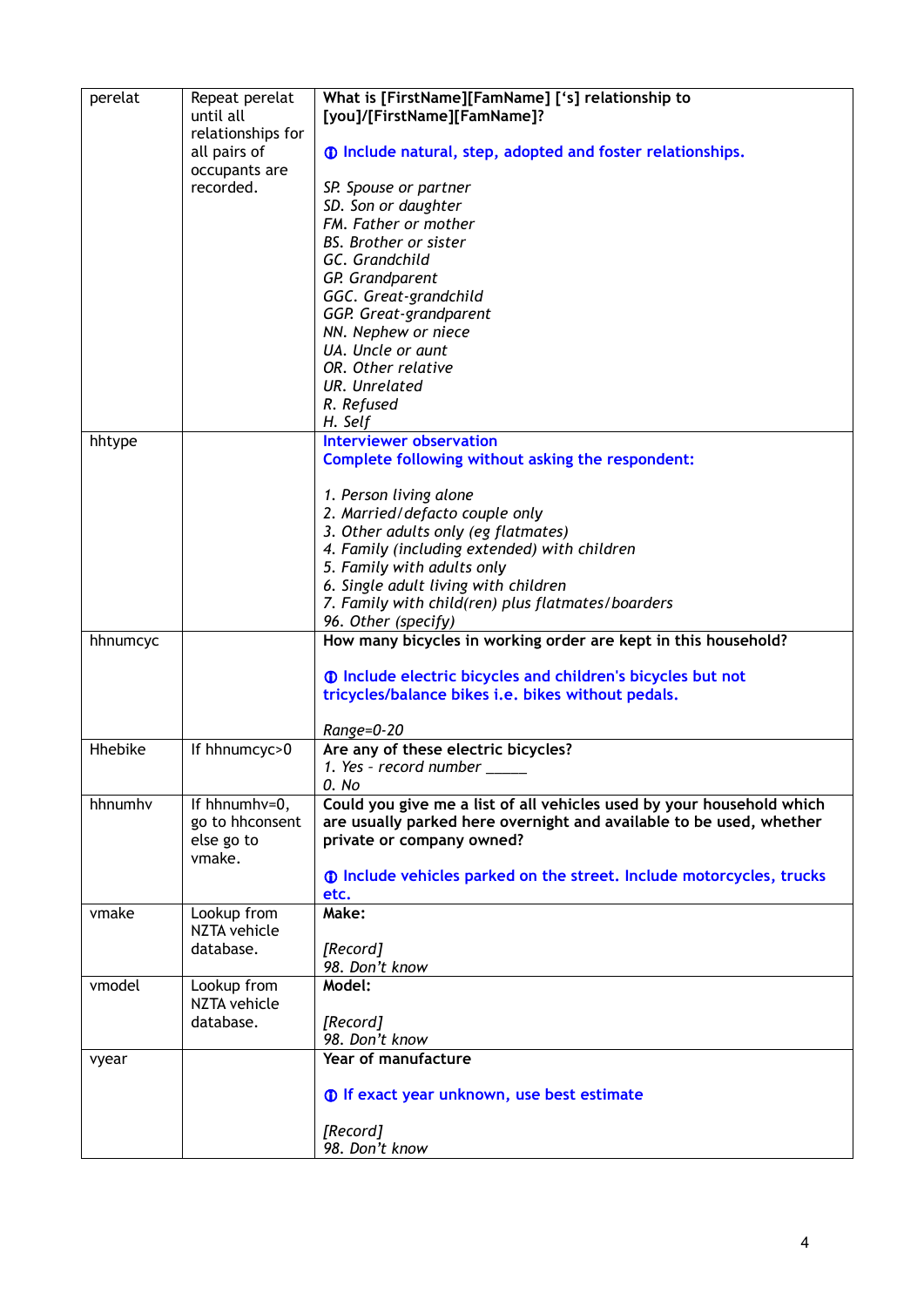| perelat  | Repeat perelat<br>until all       | What is [FirstName][FamName] ['s] relationship to<br>[you]/[FirstName][FamName]?    |
|----------|-----------------------------------|-------------------------------------------------------------------------------------|
|          | relationships for<br>all pairs of | <b>1</b> Include natural, step, adopted and foster relationships.                   |
|          | occupants are<br>recorded.        | SP. Spouse or partner                                                               |
|          |                                   | SD. Son or daughter                                                                 |
|          |                                   | FM. Father or mother                                                                |
|          |                                   | <b>BS.</b> Brother or sister                                                        |
|          |                                   | GC. Grandchild                                                                      |
|          |                                   | GP. Grandparent<br>GGC. Great-grandchild                                            |
|          |                                   | GGP. Great-grandparent                                                              |
|          |                                   | NN. Nephew or niece                                                                 |
|          |                                   | UA. Uncle or aunt                                                                   |
|          |                                   | OR. Other relative                                                                  |
|          |                                   | <b>UR.</b> Unrelated                                                                |
|          |                                   | R. Refused                                                                          |
| hhtype   |                                   | H. Self<br><b>Interviewer observation</b>                                           |
|          |                                   | Complete following without asking the respondent:                                   |
|          |                                   |                                                                                     |
|          |                                   | 1. Person living alone                                                              |
|          |                                   | 2. Married/defacto couple only                                                      |
|          |                                   | 3. Other adults only (eg flatmates)                                                 |
|          |                                   | 4. Family (including extended) with children                                        |
|          |                                   | 5. Family with adults only<br>6. Single adult living with children                  |
|          |                                   | 7. Family with child(ren) plus flatmates/boarders                                   |
|          |                                   | 96. Other (specify)                                                                 |
| hhnumcyc |                                   | How many bicycles in working order are kept in this household?                      |
|          |                                   | <b>1</b> Include electric bicycles and children's bicycles but not                  |
|          |                                   | tricycles/balance bikes i.e. bikes without pedals.                                  |
|          |                                   | Range=0-20                                                                          |
| Hhebike  | If hhnumcyc>0                     | Are any of these electric bicycles?                                                 |
|          |                                   | 1. Yes - record number                                                              |
| hhnumhv  | If hhnumhv=0,                     | 0. No<br>Could you give me a list of all vehicles used by your household which      |
|          | go to hhconsent                   | are usually parked here overnight and available to be used, whether                 |
|          | else go to<br>vmake.              | private or company owned?                                                           |
|          |                                   | <b>1</b> Include vehicles parked on the street. Include motorcycles, trucks<br>etc. |
| vmake    | Lookup from                       | Make:                                                                               |
|          | NZTA vehicle                      |                                                                                     |
|          | database.                         | [Record]<br>98. Don't know                                                          |
| vmodel   | Lookup from<br>NZTA vehicle       | Model:                                                                              |
|          | database.                         | [Record]                                                                            |
|          |                                   | 98. Don't know                                                                      |
| vyear    |                                   | Year of manufacture                                                                 |
|          |                                   | <b>1</b> If exact year unknown, use best estimate                                   |
|          |                                   | [Record]<br>98. Don't know                                                          |
|          |                                   |                                                                                     |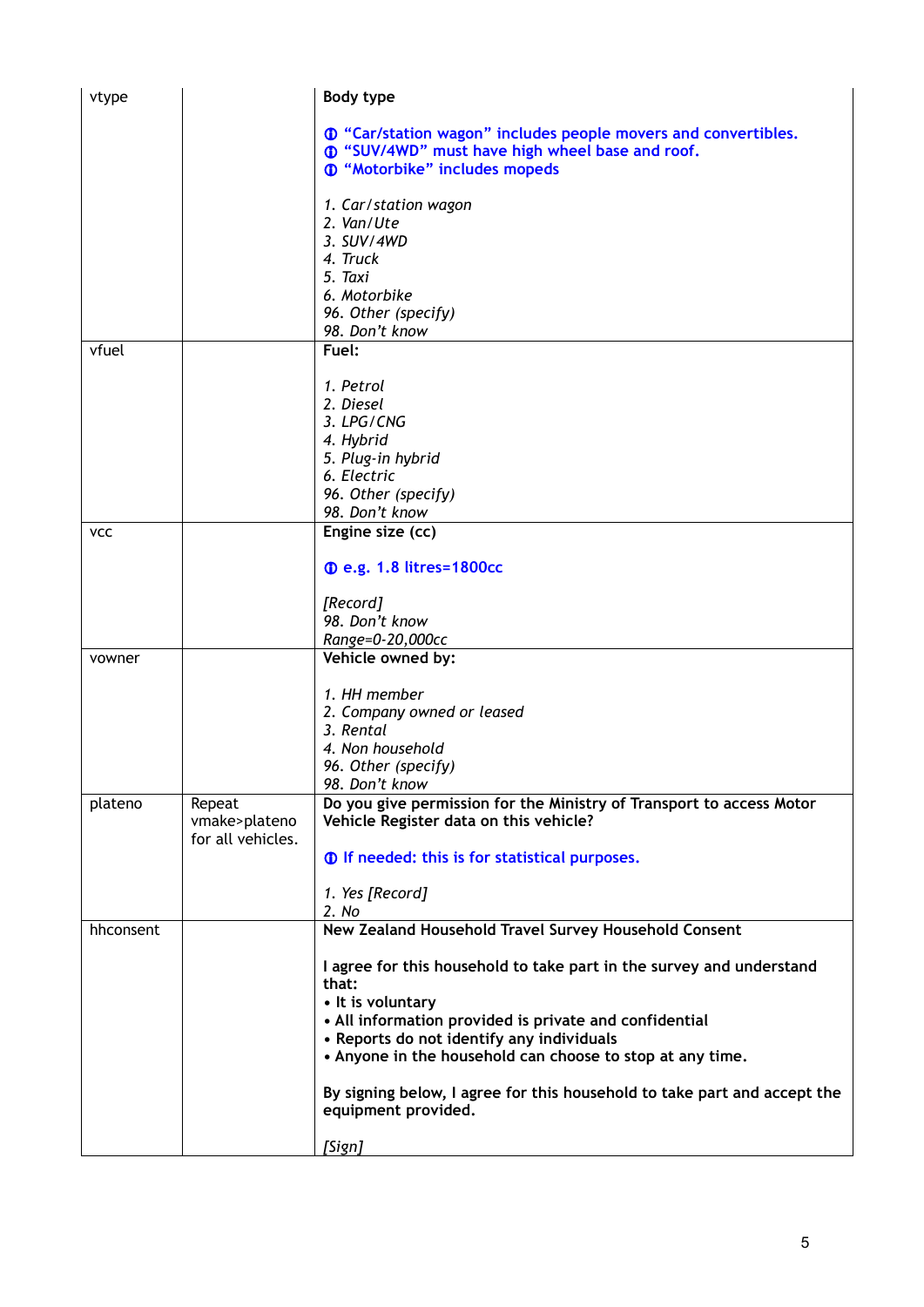| vtype      |                                              | Body type                                                                                                      |
|------------|----------------------------------------------|----------------------------------------------------------------------------------------------------------------|
|            |                                              | <b>1</b> "Car/station wagon" includes people movers and convertibles.                                          |
|            |                                              | 10 "SUV/4WD" must have high wheel base and roof.                                                               |
|            |                                              | <b>1</b> "Motorbike" includes mopeds                                                                           |
|            |                                              | 1. Car/station wagon                                                                                           |
|            |                                              | 2. Van/Ute                                                                                                     |
|            |                                              | 3. SUV/4WD                                                                                                     |
|            |                                              | 4. Truck                                                                                                       |
|            |                                              | 5. Taxi                                                                                                        |
|            |                                              | 6. Motorbike                                                                                                   |
|            |                                              | 96. Other (specify)<br>98. Don't know                                                                          |
| vfuel      |                                              | Fuel:                                                                                                          |
|            |                                              |                                                                                                                |
|            |                                              | 1. Petrol                                                                                                      |
|            |                                              | 2. Diesel                                                                                                      |
|            |                                              | 3. LPG/CNG                                                                                                     |
|            |                                              | 4. Hybrid                                                                                                      |
|            |                                              | 5. Plug-in hybrid<br>6. Electric                                                                               |
|            |                                              | 96. Other (specify)                                                                                            |
|            |                                              | 98. Don't know                                                                                                 |
| <b>VCC</b> |                                              | Engine size (cc)                                                                                               |
|            |                                              | <b>1.8 litres=1800cc</b>                                                                                       |
|            |                                              | [Record]                                                                                                       |
|            |                                              | 98. Don't know                                                                                                 |
|            |                                              | Range=0-20,000cc                                                                                               |
| vowner     |                                              | Vehicle owned by:                                                                                              |
|            |                                              | 1. HH member                                                                                                   |
|            |                                              | 2. Company owned or leased                                                                                     |
|            |                                              | 3. Rental                                                                                                      |
|            |                                              | 4. Non household                                                                                               |
|            |                                              | 96. Other (specify)                                                                                            |
|            |                                              | 98. Don't know                                                                                                 |
| plateno    | Repeat<br>vmake>plateno<br>for all vehicles. | Do you give permission for the Ministry of Transport to access Motor<br>Vehicle Register data on this vehicle? |
|            |                                              | <b>1</b> If needed: this is for statistical purposes.                                                          |
|            |                                              | 1. Yes [Record]                                                                                                |
| hhconsent  |                                              | 2. No<br>New Zealand Household Travel Survey Household Consent                                                 |
|            |                                              |                                                                                                                |
|            |                                              | I agree for this household to take part in the survey and understand<br>that:                                  |
|            |                                              | • It is voluntary                                                                                              |
|            |                                              | • All information provided is private and confidential                                                         |
|            |                                              | • Reports do not identify any individuals<br>• Anyone in the household can choose to stop at any time.         |
|            |                                              | By signing below, I agree for this household to take part and accept the<br>equipment provided.                |
|            |                                              | [Sign]                                                                                                         |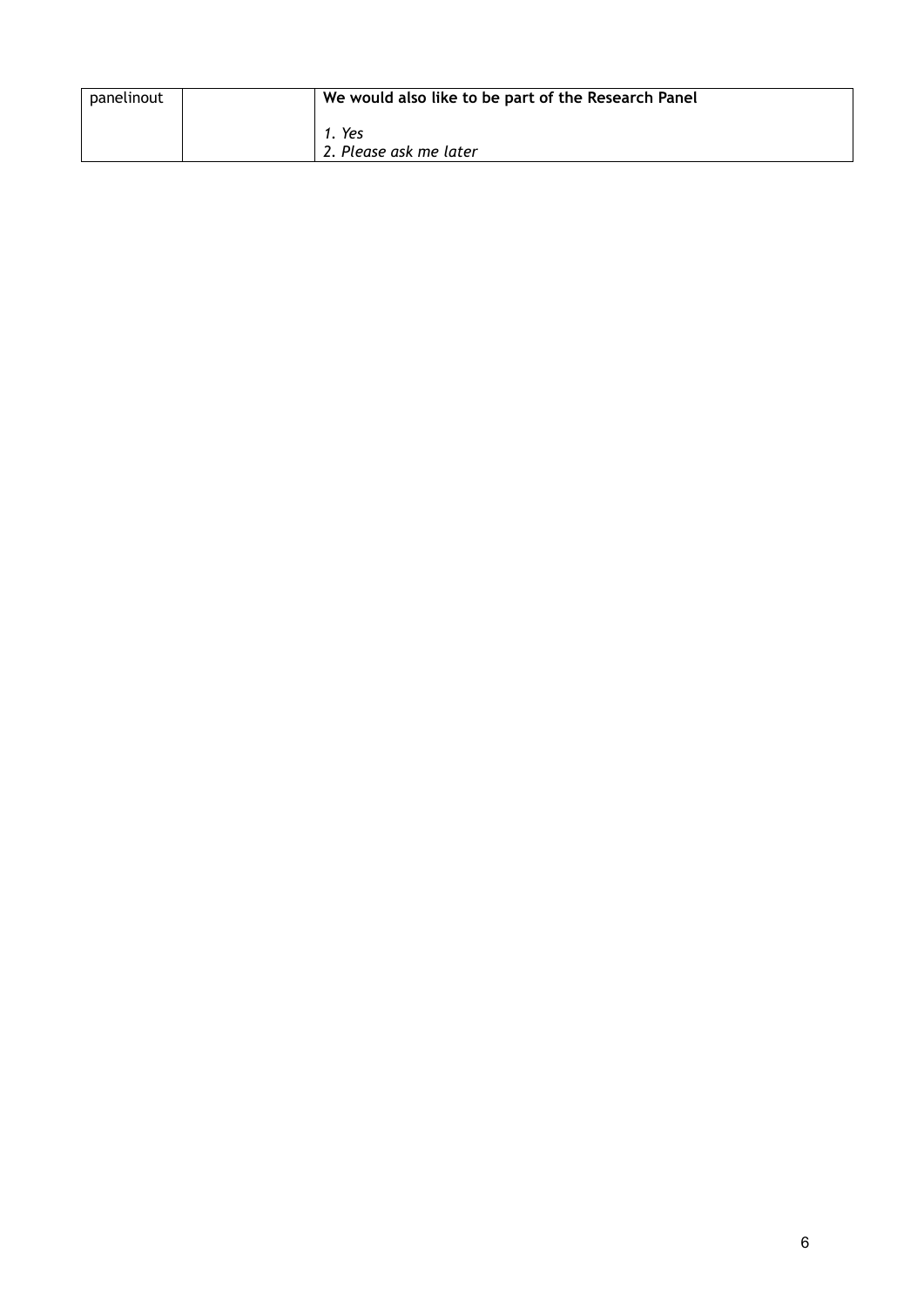| panelinout | We would also like to be part of the Research Panel |
|------------|-----------------------------------------------------|
|            | Yes<br>2. Please ask me later                       |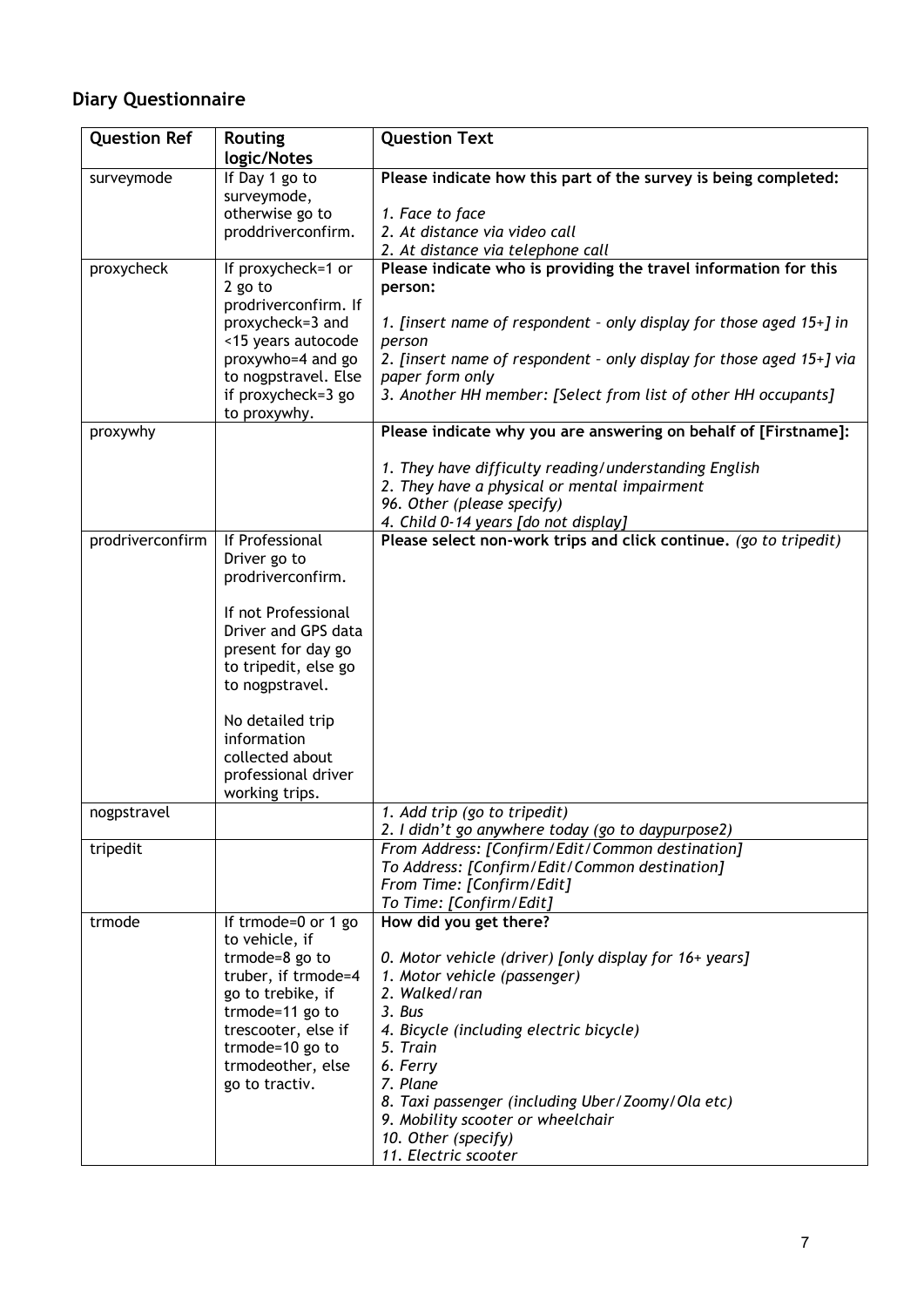# **Diary Questionnaire**

| <b>Question Ref</b> | <b>Routing</b><br>logic/Notes                                                                                                                                                                                                                                      | <b>Question Text</b>                                                                                                                                                                                                                                                                                                                                               |
|---------------------|--------------------------------------------------------------------------------------------------------------------------------------------------------------------------------------------------------------------------------------------------------------------|--------------------------------------------------------------------------------------------------------------------------------------------------------------------------------------------------------------------------------------------------------------------------------------------------------------------------------------------------------------------|
| surveymode          | If Day 1 go to<br>surveymode,<br>otherwise go to                                                                                                                                                                                                                   | Please indicate how this part of the survey is being completed:<br>1. Face to face                                                                                                                                                                                                                                                                                 |
|                     | proddriverconfirm.                                                                                                                                                                                                                                                 | 2. At distance via video call<br>2. At distance via telephone call                                                                                                                                                                                                                                                                                                 |
| proxycheck          | If proxycheck= $1$ or<br>2 go to<br>prodriverconfirm. If<br>proxycheck=3 and<br><15 years autocode<br>proxywho=4 and go<br>to nogpstravel. Else<br>if proxycheck=3 go<br>to proxywhy.                                                                              | Please indicate who is providing the travel information for this<br>person:<br>1. [insert name of respondent - only display for those aged 15+] in<br>person<br>2. [insert name of respondent - only display for those aged 15+] via<br>paper form only<br>3. Another HH member: [Select from list of other HH occupants]                                          |
| proxywhy            |                                                                                                                                                                                                                                                                    | Please indicate why you are answering on behalf of [Firstname]:                                                                                                                                                                                                                                                                                                    |
|                     |                                                                                                                                                                                                                                                                    | 1. They have difficulty reading/understanding English<br>2. They have a physical or mental impairment<br>96. Other (please specify)<br>4. Child 0-14 years [do not display]                                                                                                                                                                                        |
| prodriverconfirm    | If Professional<br>Driver go to<br>prodriverconfirm.<br>If not Professional<br>Driver and GPS data<br>present for day go<br>to tripedit, else go<br>to nogpstravel.<br>No detailed trip<br>information<br>collected about<br>professional driver<br>working trips. | Please select non-work trips and click continue. (go to tripedit)                                                                                                                                                                                                                                                                                                  |
| nogpstravel         |                                                                                                                                                                                                                                                                    | 1. Add trip (go to tripedit)<br>2. I didn't go anywhere today (go to daypurpose2)                                                                                                                                                                                                                                                                                  |
| tripedit            |                                                                                                                                                                                                                                                                    | From Address: [Confirm/Edit/Common destination]<br>To Address: [Confirm/Edit/Common destination]<br>From Time: [Confirm/Edit]<br>To Time: [Confirm/Edit]                                                                                                                                                                                                           |
| trmode              | If trmode=0 or $1\overline{g}$<br>to vehicle, if<br>trmode=8 go to<br>truber, if trmode=4<br>go to trebike, if<br>trmode=11 go to<br>trescooter, else if<br>trmode=10 go to<br>trmodeother, else<br>go to tractiv.                                                 | How did you get there?<br>0. Motor vehicle (driver) [only display for 16+ years]<br>1. Motor vehicle (passenger)<br>2. Walked/ran<br>3. Bus<br>4. Bicycle (including electric bicycle)<br>5. Train<br>6. Ferry<br>7. Plane<br>8. Taxi passenger (including Uber/Zoomy/Ola etc)<br>9. Mobility scooter or wheelchair<br>10. Other (specify)<br>11. Electric scooter |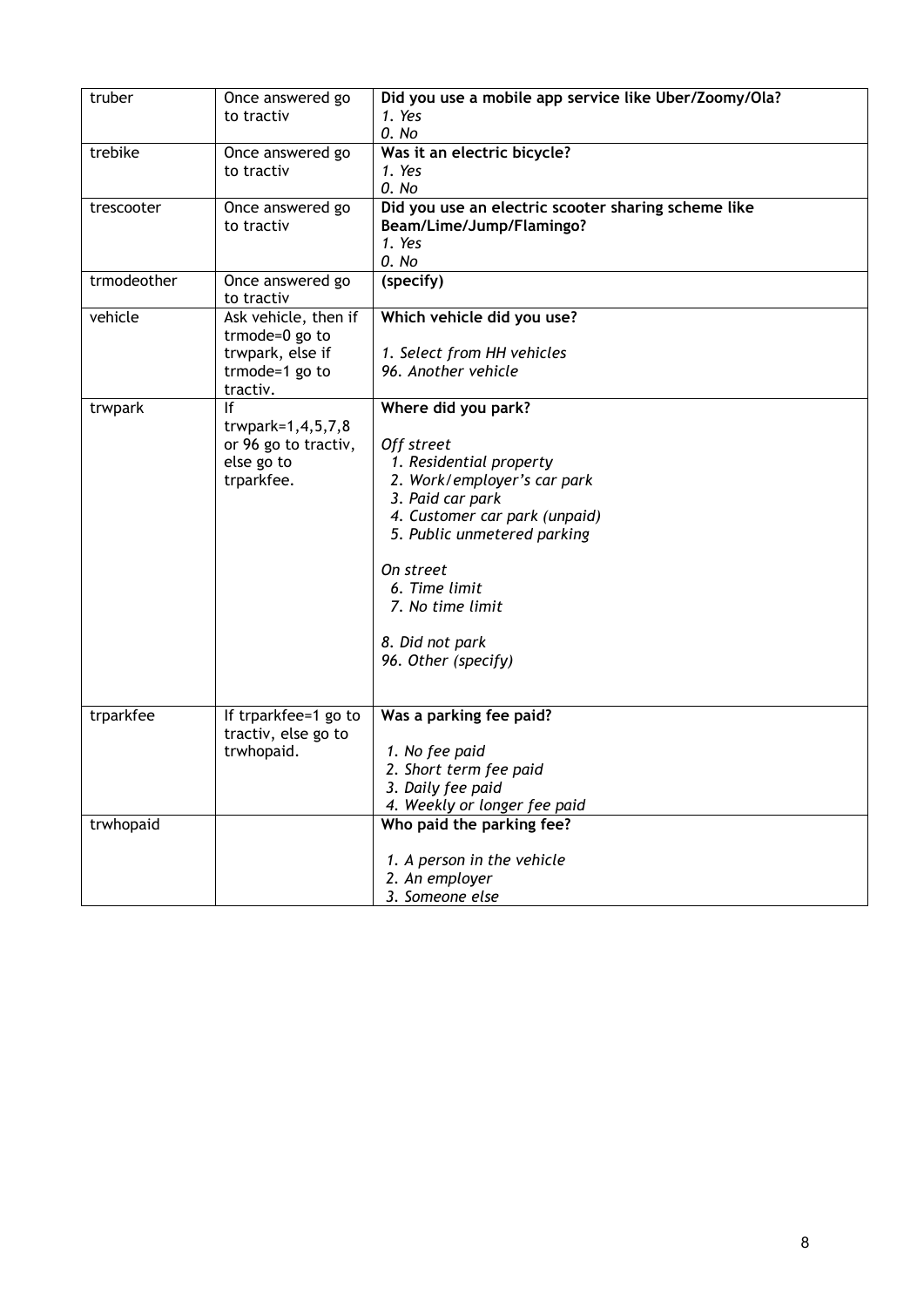| truber      | Once answered go           | Did you use a mobile app service like Uber/Zoomy/Ola? |
|-------------|----------------------------|-------------------------------------------------------|
|             | to tractiv                 | 1. Yes                                                |
|             |                            | 0. No                                                 |
| trebike     | Once answered go           | Was it an electric bicycle?                           |
|             | to tractiv                 | 1. Yes                                                |
|             |                            | 0. No                                                 |
| trescooter  | Once answered go           | Did you use an electric scooter sharing scheme like   |
|             | to tractiv                 | Beam/Lime/Jump/Flamingo?                              |
|             |                            | 1. Yes                                                |
| trmodeother |                            | 0. No                                                 |
|             | Once answered go           | (specify)                                             |
|             | to tractiv                 |                                                       |
| vehicle     | Ask vehicle, then if       | Which vehicle did you use?                            |
|             | trmode=0 go to             |                                                       |
|             | trwpark, else if           | 1. Select from HH vehicles<br>96. Another vehicle     |
|             | trmode=1 go to<br>tractiv. |                                                       |
| trwpark     | If                         | Where did you park?                                   |
|             | trwpark=1,4,5,7,8          |                                                       |
|             | or 96 go to tractiv,       | Off street                                            |
|             | else go to                 | 1. Residential property                               |
|             | trparkfee.                 | 2. Work/employer's car park                           |
|             |                            | 3. Paid car park                                      |
|             |                            | 4. Customer car park (unpaid)                         |
|             |                            | 5. Public unmetered parking                           |
|             |                            |                                                       |
|             |                            | On street                                             |
|             |                            | 6. Time limit                                         |
|             |                            | 7. No time limit                                      |
|             |                            |                                                       |
|             |                            | 8. Did not park                                       |
|             |                            | 96. Other (specify)                                   |
|             |                            |                                                       |
|             |                            |                                                       |
| trparkfee   | If trparkfee=1 go to       | Was a parking fee paid?                               |
|             | tractiv, else go to        |                                                       |
|             | trwhopaid.                 | 1. No fee paid                                        |
|             |                            | 2. Short term fee paid                                |
|             |                            | 3. Daily fee paid                                     |
|             |                            | 4. Weekly or longer fee paid                          |
| trwhopaid   |                            | Who paid the parking fee?                             |
|             |                            | 1. A person in the vehicle                            |
|             |                            | 2. An employer                                        |
|             |                            | 3. Someone else                                       |
|             |                            |                                                       |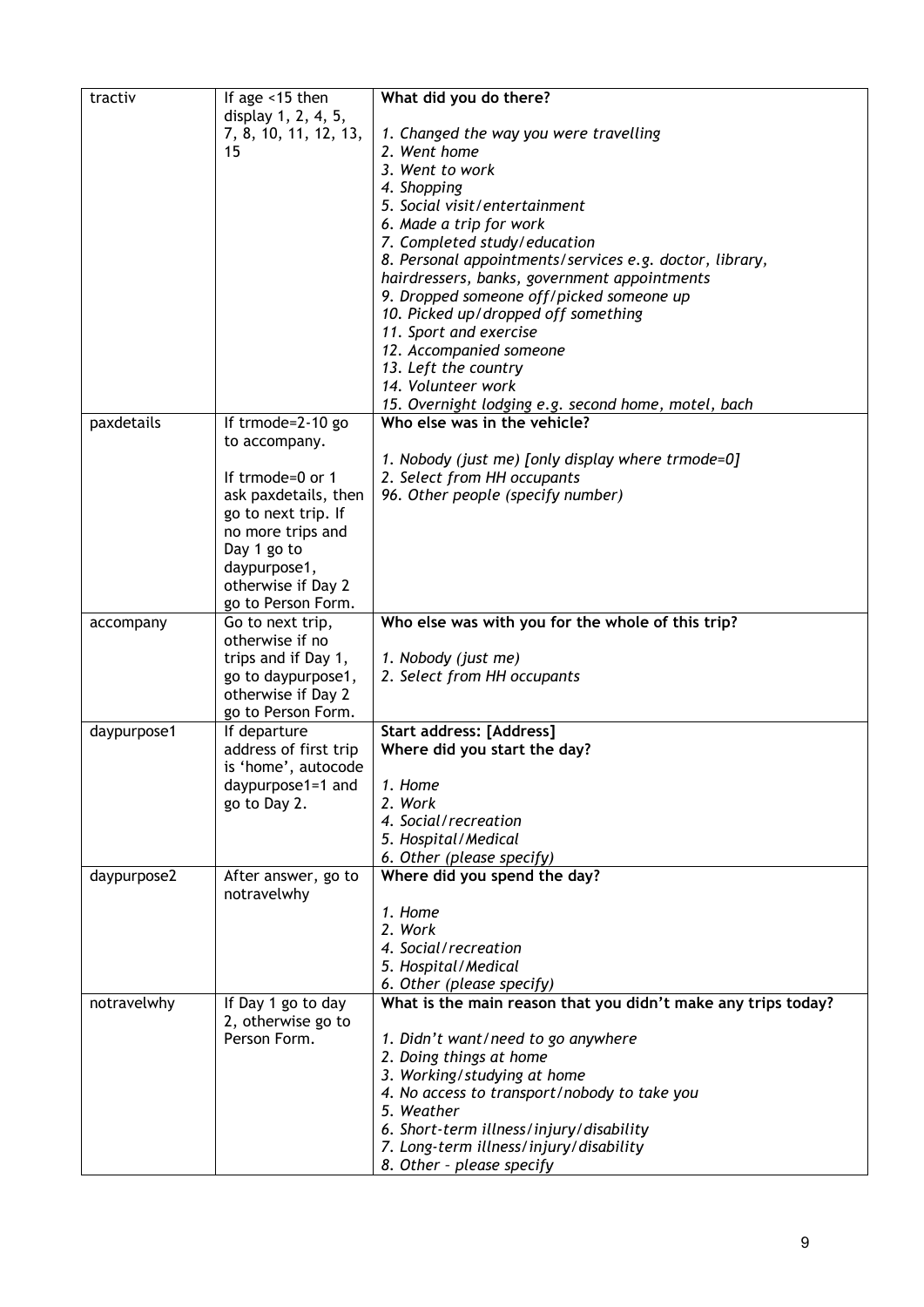| tractiv     | If age <15 then       | What did you do there?                                        |
|-------------|-----------------------|---------------------------------------------------------------|
|             | display 1, 2, 4, 5,   |                                                               |
|             | 7, 8, 10, 11, 12, 13, | 1. Changed the way you were travelling                        |
|             | 15                    | 2. Went home                                                  |
|             |                       | 3. Went to work                                               |
|             |                       | 4. Shopping                                                   |
|             |                       | 5. Social visit/entertainment                                 |
|             |                       | 6. Made a trip for work                                       |
|             |                       | 7. Completed study/education                                  |
|             |                       | 8. Personal appointments/services e.g. doctor, library,       |
|             |                       | hairdressers, banks, government appointments                  |
|             |                       | 9. Dropped someone off/picked someone up                      |
|             |                       | 10. Picked up/dropped off something                           |
|             |                       | 11. Sport and exercise                                        |
|             |                       | 12. Accompanied someone                                       |
|             |                       | 13. Left the country                                          |
|             |                       | 14. Volunteer work                                            |
|             |                       | 15. Overnight lodging e.g. second home, motel, bach           |
| paxdetails  | If trmode=2-10 go     | Who else was in the vehicle?                                  |
|             | to accompany.         |                                                               |
|             |                       | 1. Nobody (just me) [only display where trmode=0]             |
|             | If trmode=0 or 1      | 2. Select from HH occupants                                   |
|             | ask paxdetails, then  | 96. Other people (specify number)                             |
|             | go to next trip. If   |                                                               |
|             | no more trips and     |                                                               |
|             | Day 1 go to           |                                                               |
|             | daypurpose1,          |                                                               |
|             | otherwise if Day 2    |                                                               |
|             | go to Person Form.    |                                                               |
| accompany   | Go to next trip,      | Who else was with you for the whole of this trip?             |
|             | otherwise if no       |                                                               |
|             | trips and if Day 1,   | 1. Nobody (just me)                                           |
|             | go to daypurpose1,    | 2. Select from HH occupants                                   |
|             | otherwise if Day 2    |                                                               |
|             | go to Person Form.    |                                                               |
| daypurpose1 | If departure          | Start address: [Address]                                      |
|             | address of first trip | Where did you start the day?                                  |
|             | is 'home', autocode   |                                                               |
|             | daypurpose1=1 and     | 1. Home                                                       |
|             | go to Day 2.          | 2. Work                                                       |
|             |                       | 4. Social/recreation                                          |
|             |                       | 5. Hospital/Medical                                           |
|             |                       | 6. Other (please specify)                                     |
| daypurpose2 | After answer, go to   | Where did you spend the day?                                  |
|             | notravelwhy           |                                                               |
|             |                       | 1. Home                                                       |
|             |                       | 2. Work                                                       |
|             |                       | 4. Social/recreation                                          |
|             |                       | 5. Hospital/Medical                                           |
|             |                       | 6. Other (please specify)                                     |
| notravelwhy | If Day 1 go to day    | What is the main reason that you didn't make any trips today? |
|             | 2, otherwise go to    |                                                               |
|             | Person Form.          | 1. Didn't want/need to go anywhere                            |
|             |                       | 2. Doing things at home                                       |
|             |                       | 3. Working/studying at home                                   |
|             |                       | 4. No access to transport/nobody to take you                  |
|             |                       | 5. Weather                                                    |
|             |                       | 6. Short-term illness/injury/disability                       |
|             |                       | 7. Long-term illness/injury/disability                        |
|             |                       | 8. Other - please specify                                     |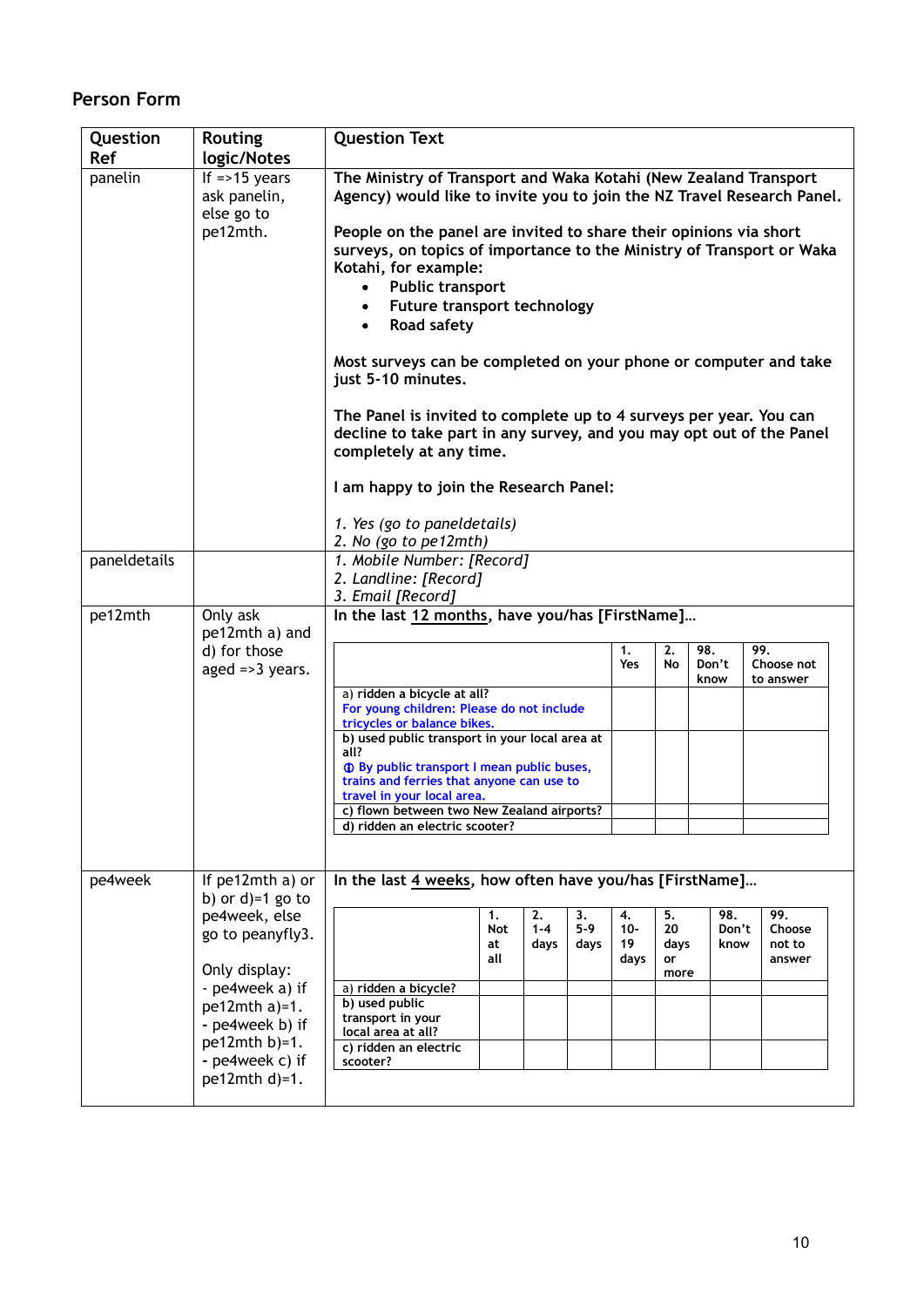## **Person Form**

| Question     | <b>Routing</b>                                                                                                                                                                                | <b>Question Text</b>                                                                                                                                                                                                                                                                                                                                                                                                                                                                                                                                                                                                                                                                                                                                      |                               |                       |                     |                            |                                |                      |                      |                                   |
|--------------|-----------------------------------------------------------------------------------------------------------------------------------------------------------------------------------------------|-----------------------------------------------------------------------------------------------------------------------------------------------------------------------------------------------------------------------------------------------------------------------------------------------------------------------------------------------------------------------------------------------------------------------------------------------------------------------------------------------------------------------------------------------------------------------------------------------------------------------------------------------------------------------------------------------------------------------------------------------------------|-------------------------------|-----------------------|---------------------|----------------------------|--------------------------------|----------------------|----------------------|-----------------------------------|
| <b>Ref</b>   | logic/Notes                                                                                                                                                                                   |                                                                                                                                                                                                                                                                                                                                                                                                                                                                                                                                                                                                                                                                                                                                                           |                               |                       |                     |                            |                                |                      |                      |                                   |
| panelin      | If $=$ >15 years<br>ask panelin,<br>else go to<br>pe12mth.                                                                                                                                    | The Ministry of Transport and Waka Kotahi (New Zealand Transport<br>Agency) would like to invite you to join the NZ Travel Research Panel.<br>People on the panel are invited to share their opinions via short<br>surveys, on topics of importance to the Ministry of Transport or Waka<br>Kotahi, for example:<br><b>Public transport</b><br>$\bullet$<br>Future transport technology<br><b>Road safety</b><br>Most surveys can be completed on your phone or computer and take<br>just 5-10 minutes.<br>The Panel is invited to complete up to 4 surveys per year. You can<br>decline to take part in any survey, and you may opt out of the Panel<br>completely at any time.<br>I am happy to join the Research Panel:<br>1. Yes (go to paneldetails) |                               |                       |                     |                            |                                |                      |                      |                                   |
|              |                                                                                                                                                                                               | 2. No (go to pe12mth)                                                                                                                                                                                                                                                                                                                                                                                                                                                                                                                                                                                                                                                                                                                                     |                               |                       |                     |                            |                                |                      |                      |                                   |
| paneldetails |                                                                                                                                                                                               | 1. Mobile Number: [Record]                                                                                                                                                                                                                                                                                                                                                                                                                                                                                                                                                                                                                                                                                                                                |                               |                       |                     |                            |                                |                      |                      |                                   |
|              |                                                                                                                                                                                               | 2. Landline: [Record]                                                                                                                                                                                                                                                                                                                                                                                                                                                                                                                                                                                                                                                                                                                                     |                               |                       |                     |                            |                                |                      |                      |                                   |
|              |                                                                                                                                                                                               | 3. Email [Record]                                                                                                                                                                                                                                                                                                                                                                                                                                                                                                                                                                                                                                                                                                                                         |                               |                       |                     |                            |                                |                      |                      |                                   |
| pe12mth      | Only ask<br>pe12mth a) and<br>d) for those<br>aged $\Rightarrow$ 3 years.                                                                                                                     | In the last 12 months, have you/has [FirstName]<br>a) ridden a bicycle at all?<br>For young children: Please do not include<br>tricycles or balance bikes.<br>b) used public transport in your local area at<br>all?<br><b>1</b> By public transport I mean public buses,<br>trains and ferries that anyone can use to<br>travel in your local area.<br>c) flown between two New Zealand airports?<br>d) ridden an electric scooter?                                                                                                                                                                                                                                                                                                                      |                               |                       |                     | 1.<br>Yes                  | 2.<br>No.                      | 98.<br>Don't<br>know |                      | 99.<br>Choose not<br>to answer    |
| pe4week      | If pe12mth a) or                                                                                                                                                                              | In the last 4 weeks, how often have you/has [FirstName]                                                                                                                                                                                                                                                                                                                                                                                                                                                                                                                                                                                                                                                                                                   |                               |                       |                     |                            |                                |                      |                      |                                   |
|              | b) or $d$ =1 go to<br>pe4week, else<br>go to peanyfly3.<br>Only display:<br>- pe4week a) if<br>$pe12$ mth a)=1.<br>- pe4week b) if<br>$pe12$ mth b)=1.<br>- pe4week c) if<br>$pe12$ mth d)=1. | a) ridden a bicycle?<br>b) used public<br>transport in your<br>local area at all?<br>c) ridden an electric<br>scooter?                                                                                                                                                                                                                                                                                                                                                                                                                                                                                                                                                                                                                                    | 1.<br><b>Not</b><br>at<br>all | 2.<br>$1 - 4$<br>days | 3.<br>$5-9$<br>days | 4.<br>$10 -$<br>19<br>days | 5.<br>20<br>days<br>or<br>more |                      | 98.<br>Don't<br>know | 99.<br>Choose<br>not to<br>answer |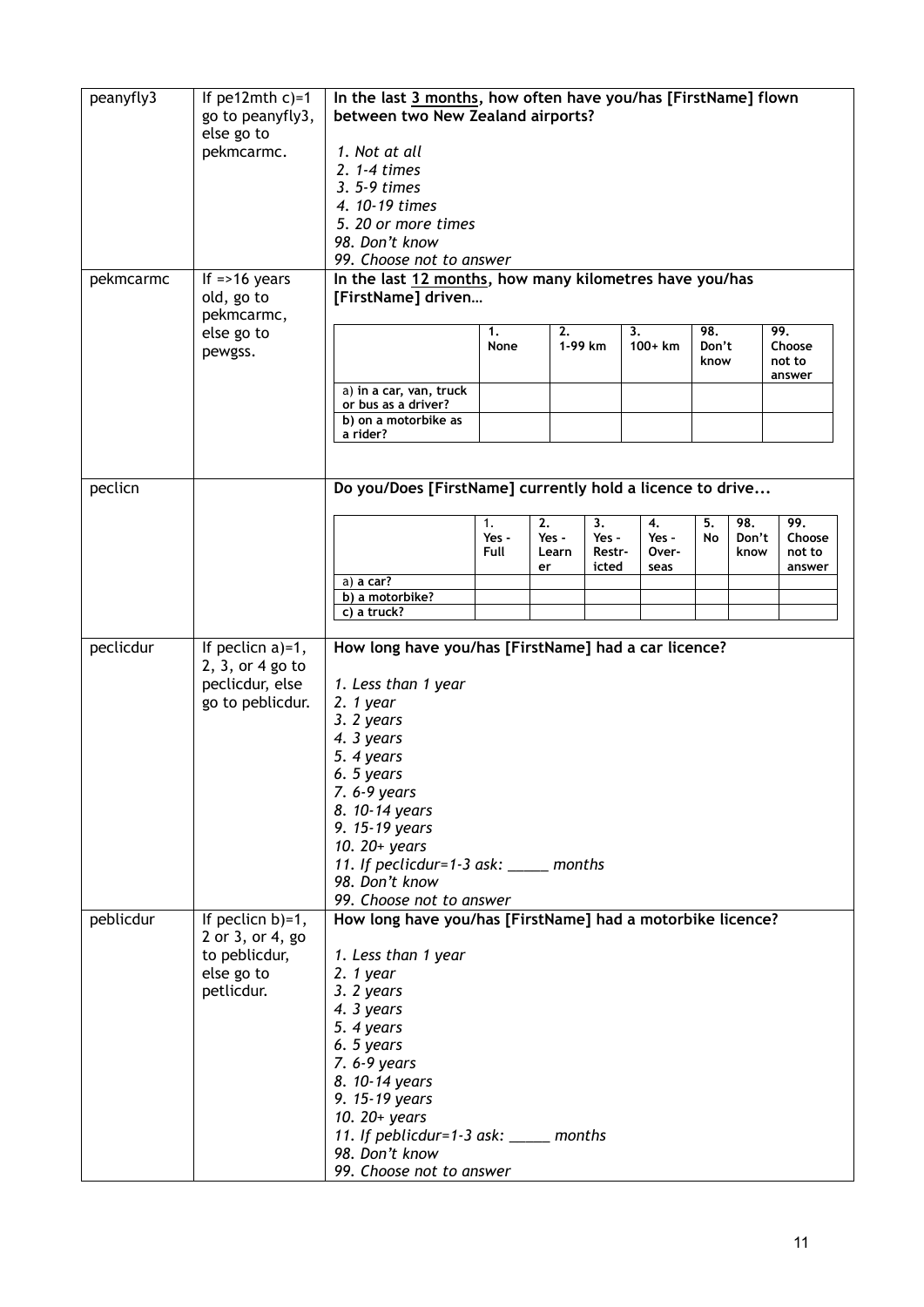| peanyfly3 | If $pe12$ mth $c$ )=1 | In the last 3 months, how often have you/has [FirstName] flown |                                   |       |                 |          |       |       |        |
|-----------|-----------------------|----------------------------------------------------------------|-----------------------------------|-------|-----------------|----------|-------|-------|--------|
|           | go to peanyfly3,      |                                                                | between two New Zealand airports? |       |                 |          |       |       |        |
|           | else go to            |                                                                |                                   |       |                 |          |       |       |        |
|           | pekmcarmc.            | 1. Not at all                                                  |                                   |       |                 |          |       |       |        |
|           |                       | 2. 1-4 times                                                   |                                   |       |                 |          |       |       |        |
|           |                       |                                                                |                                   |       |                 |          |       |       |        |
|           |                       | 3. 5-9 times                                                   |                                   |       |                 |          |       |       |        |
|           |                       | 4. 10-19 times                                                 |                                   |       |                 |          |       |       |        |
|           |                       | 5. 20 or more times                                            |                                   |       |                 |          |       |       |        |
|           |                       | 98. Don't know                                                 |                                   |       |                 |          |       |       |        |
|           |                       | 99. Choose not to answer                                       |                                   |       |                 |          |       |       |        |
|           | If $=$ >16 years      | In the last 12 months, how many kilometres have you/has        |                                   |       |                 |          |       |       |        |
| pekmcarmc |                       |                                                                |                                   |       |                 |          |       |       |        |
|           | old, go to            | [FirstName] driven                                             |                                   |       |                 |          |       |       |        |
|           | pekmcarmc,            |                                                                |                                   |       |                 |          |       |       |        |
|           | else go to            |                                                                | 1.                                | 2.    |                 | 3.       | 98.   |       | 99.    |
|           | pewgss.               |                                                                | None                              |       | 1-99 km         | $100+km$ | Don't |       | Choose |
|           |                       |                                                                |                                   |       |                 |          | know  |       | not to |
|           |                       | a) in a car, van, truck                                        |                                   |       |                 |          |       |       | answer |
|           |                       | or bus as a driver?                                            |                                   |       |                 |          |       |       |        |
|           |                       | b) on a motorbike as                                           |                                   |       |                 |          |       |       |        |
|           |                       | a rider?                                                       |                                   |       |                 |          |       |       |        |
|           |                       |                                                                |                                   |       |                 |          |       |       |        |
|           |                       |                                                                |                                   |       |                 |          |       |       |        |
|           |                       |                                                                |                                   |       |                 |          |       |       |        |
| peclicn   |                       | Do you/Does [FirstName] currently hold a licence to drive      |                                   |       |                 |          |       |       |        |
|           |                       |                                                                |                                   |       |                 |          |       |       |        |
|           |                       |                                                                | 1.                                | 2.    | 3.              | 4.       | 5.    | 98.   | 99.    |
|           |                       |                                                                | Yes -                             | Yes - | Yes -           | Yes -    | No    | Don't | Choose |
|           |                       |                                                                | Full                              | Learn | Restr-<br>icted | Over-    |       | know  | not to |
|           |                       | a) a car?                                                      |                                   | er    |                 | seas     |       |       | answer |
|           |                       | b) a motorbike?                                                |                                   |       |                 |          |       |       |        |
|           |                       | c) a truck?                                                    |                                   |       |                 |          |       |       |        |
|           |                       |                                                                |                                   |       |                 |          |       |       |        |
| peclicdur | If peclicn $a$ )=1,   | How long have you/has [FirstName] had a car licence?           |                                   |       |                 |          |       |       |        |
|           |                       |                                                                |                                   |       |                 |          |       |       |        |
|           | 2, 3, or 4 go to      |                                                                |                                   |       |                 |          |       |       |        |
|           | peclicdur, else       | 1. Less than 1 year                                            |                                   |       |                 |          |       |       |        |
|           | go to peblicdur.      | $2.1$ year                                                     |                                   |       |                 |          |       |       |        |
|           |                       | 3. 2 years                                                     |                                   |       |                 |          |       |       |        |
|           |                       | 4. 3 years                                                     |                                   |       |                 |          |       |       |        |
|           |                       | 5. 4 years                                                     |                                   |       |                 |          |       |       |        |
|           |                       | 6. 5 years                                                     |                                   |       |                 |          |       |       |        |
|           |                       |                                                                |                                   |       |                 |          |       |       |        |
|           |                       | 7.6-9 years                                                    |                                   |       |                 |          |       |       |        |
|           |                       | 8. 10-14 years                                                 |                                   |       |                 |          |       |       |        |
|           |                       | 9. 15-19 years                                                 |                                   |       |                 |          |       |       |        |
|           |                       | 10. 20+ years                                                  |                                   |       |                 |          |       |       |        |
|           |                       | 11. If peclicdur=1-3 ask: ____ months                          |                                   |       |                 |          |       |       |        |
|           |                       | 98. Don't know                                                 |                                   |       |                 |          |       |       |        |
|           |                       | 99. Choose not to answer                                       |                                   |       |                 |          |       |       |        |
| peblicdur | If peclicn $b$ )=1,   | How long have you/has [FirstName] had a motorbike licence?     |                                   |       |                 |          |       |       |        |
|           |                       |                                                                |                                   |       |                 |          |       |       |        |
|           | 2 or 3, or 4, go      |                                                                |                                   |       |                 |          |       |       |        |
|           | to peblicdur,         | 1. Less than 1 year                                            |                                   |       |                 |          |       |       |        |
|           | else go to            | $2.1$ year                                                     |                                   |       |                 |          |       |       |        |
|           | petlicdur.            | 3. 2 years                                                     |                                   |       |                 |          |       |       |        |
|           |                       | 4. 3 years                                                     |                                   |       |                 |          |       |       |        |
|           |                       | 5. 4 years                                                     |                                   |       |                 |          |       |       |        |
|           |                       | 6. 5 years                                                     |                                   |       |                 |          |       |       |        |
|           |                       |                                                                |                                   |       |                 |          |       |       |        |
|           |                       | 7. 6-9 years                                                   |                                   |       |                 |          |       |       |        |
|           |                       | 8. 10-14 years                                                 |                                   |       |                 |          |       |       |        |
|           |                       | 9. 15-19 years                                                 |                                   |       |                 |          |       |       |        |
|           |                       | 10. 20+ years                                                  |                                   |       |                 |          |       |       |        |
|           |                       | 11. If peblicdur=1-3 ask: _____ months                         |                                   |       |                 |          |       |       |        |
|           |                       | 98. Don't know                                                 |                                   |       |                 |          |       |       |        |
|           |                       |                                                                |                                   |       |                 |          |       |       |        |
|           |                       | 99. Choose not to answer                                       |                                   |       |                 |          |       |       |        |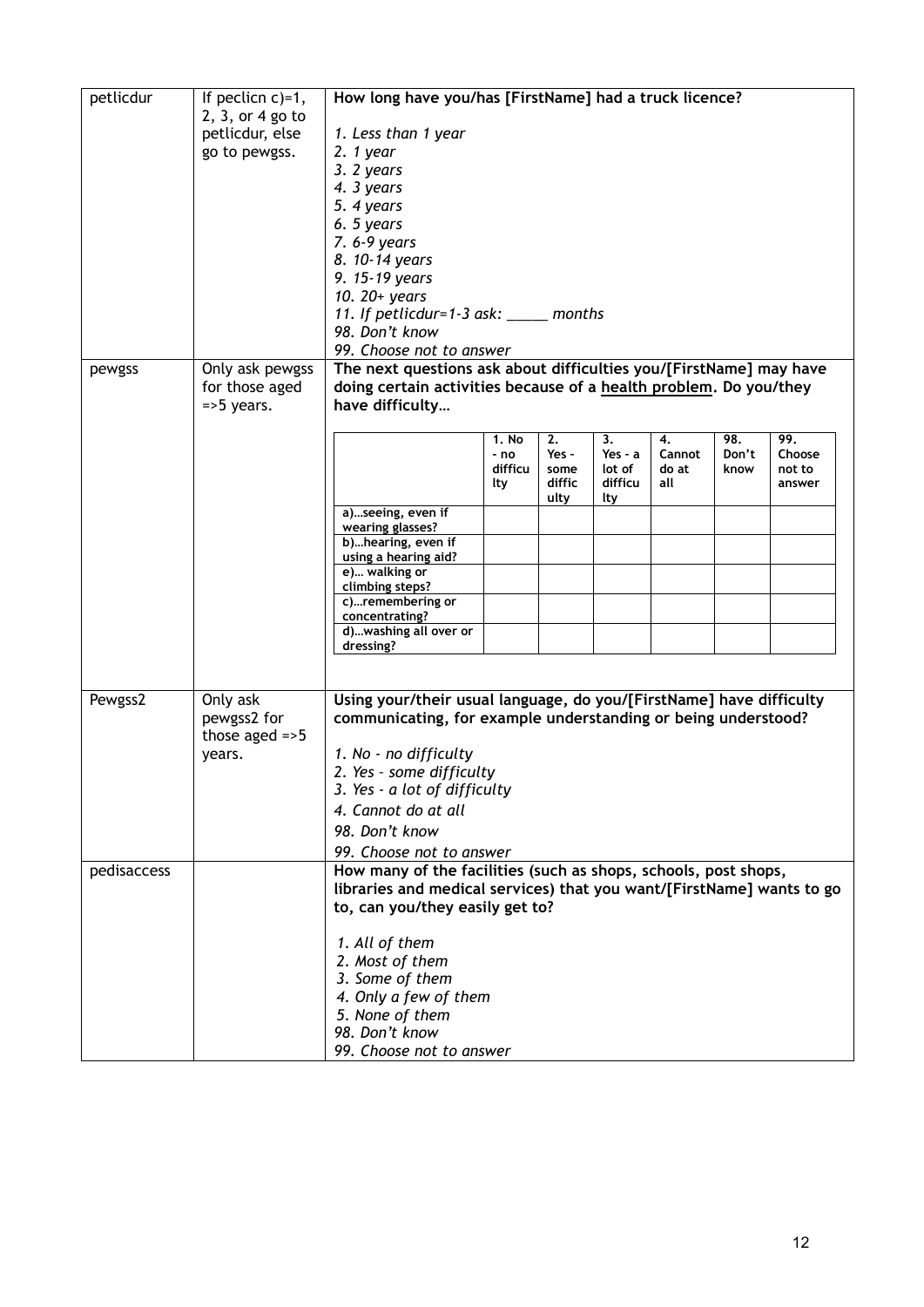| petlicdur   | If peclicn $c$ )=1, | How long have you/has [FirstName] had a truck licence?                |               |             |                 |              |              |               |
|-------------|---------------------|-----------------------------------------------------------------------|---------------|-------------|-----------------|--------------|--------------|---------------|
|             | 2, 3, or 4 go to    |                                                                       |               |             |                 |              |              |               |
|             | petlicdur, else     | 1. Less than 1 year                                                   |               |             |                 |              |              |               |
|             | go to pewgss.       | $2.1$ year                                                            |               |             |                 |              |              |               |
|             |                     | 3. 2 years                                                            |               |             |                 |              |              |               |
|             |                     | 4. 3 years                                                            |               |             |                 |              |              |               |
|             |                     | 5. 4 years                                                            |               |             |                 |              |              |               |
|             |                     | 6. 5 years                                                            |               |             |                 |              |              |               |
|             |                     | 7.6-9 years                                                           |               |             |                 |              |              |               |
|             |                     | 8. 10-14 years<br>9. 15-19 years                                      |               |             |                 |              |              |               |
|             |                     | 10. 20+ years                                                         |               |             |                 |              |              |               |
|             |                     | 11. If petlicdur=1-3 ask: $\_\_\_\_\_$ months                         |               |             |                 |              |              |               |
|             |                     | 98. Don't know                                                        |               |             |                 |              |              |               |
|             |                     | 99. Choose not to answer                                              |               |             |                 |              |              |               |
| pewgss      | Only ask pewgss     | The next questions ask about difficulties you/[FirstName] may have    |               |             |                 |              |              |               |
|             | for those aged      | doing certain activities because of a health problem. Do you/they     |               |             |                 |              |              |               |
|             | $=$ 5 years.        | have difficulty                                                       |               |             |                 |              |              |               |
|             |                     |                                                                       |               |             |                 |              |              |               |
|             |                     |                                                                       | 1. No<br>- no | 2.<br>Yes - | 3.<br>Yes - $a$ | 4.<br>Cannot | 98.<br>Don't | 99.<br>Choose |
|             |                     |                                                                       | difficu       | some        | lot of          | do at        | know         | not to        |
|             |                     |                                                                       | lty           | diffic      | difficu         | all          |              | answer        |
|             |                     |                                                                       |               | ulty        | lty             |              |              |               |
|             |                     | a)seeing, even if<br>wearing glasses?                                 |               |             |                 |              |              |               |
|             |                     | b)hearing, even if                                                    |               |             |                 |              |              |               |
|             |                     | using a hearing aid?                                                  |               |             |                 |              |              |               |
|             |                     | e) walking or<br>climbing steps?                                      |               |             |                 |              |              |               |
|             |                     | c)remembering or                                                      |               |             |                 |              |              |               |
|             |                     | concentrating?                                                        |               |             |                 |              |              |               |
|             |                     | d)washing all over or<br>dressing?                                    |               |             |                 |              |              |               |
|             |                     |                                                                       |               |             |                 |              |              |               |
|             |                     |                                                                       |               |             |                 |              |              |               |
| Pewgss2     | Only ask            | Using your/their usual language, do you/[FirstName] have difficulty   |               |             |                 |              |              |               |
|             | pewgss2 for         | communicating, for example understanding or being understood?         |               |             |                 |              |              |               |
|             | those aged $=5$     |                                                                       |               |             |                 |              |              |               |
|             | vears.              | 1. No - no difficulty                                                 |               |             |                 |              |              |               |
|             |                     | 2. Yes - some difficulty                                              |               |             |                 |              |              |               |
|             |                     | 3. Yes - a lot of difficulty                                          |               |             |                 |              |              |               |
|             |                     | 4. Cannot do at all                                                   |               |             |                 |              |              |               |
|             |                     | 98. Don't know                                                        |               |             |                 |              |              |               |
|             |                     | 99. Choose not to answer                                              |               |             |                 |              |              |               |
| pedisaccess |                     | How many of the facilities (such as shops, schools, post shops,       |               |             |                 |              |              |               |
|             |                     | libraries and medical services) that you want/[FirstName] wants to go |               |             |                 |              |              |               |
|             |                     | to, can you/they easily get to?                                       |               |             |                 |              |              |               |
|             |                     | 1. All of them                                                        |               |             |                 |              |              |               |
|             |                     | 2. Most of them                                                       |               |             |                 |              |              |               |
|             |                     | 3. Some of them                                                       |               |             |                 |              |              |               |
|             |                     | 4. Only a few of them                                                 |               |             |                 |              |              |               |
|             |                     | 5. None of them                                                       |               |             |                 |              |              |               |
|             |                     | 98. Don't know                                                        |               |             |                 |              |              |               |
|             |                     | 99. Choose not to answer                                              |               |             |                 |              |              |               |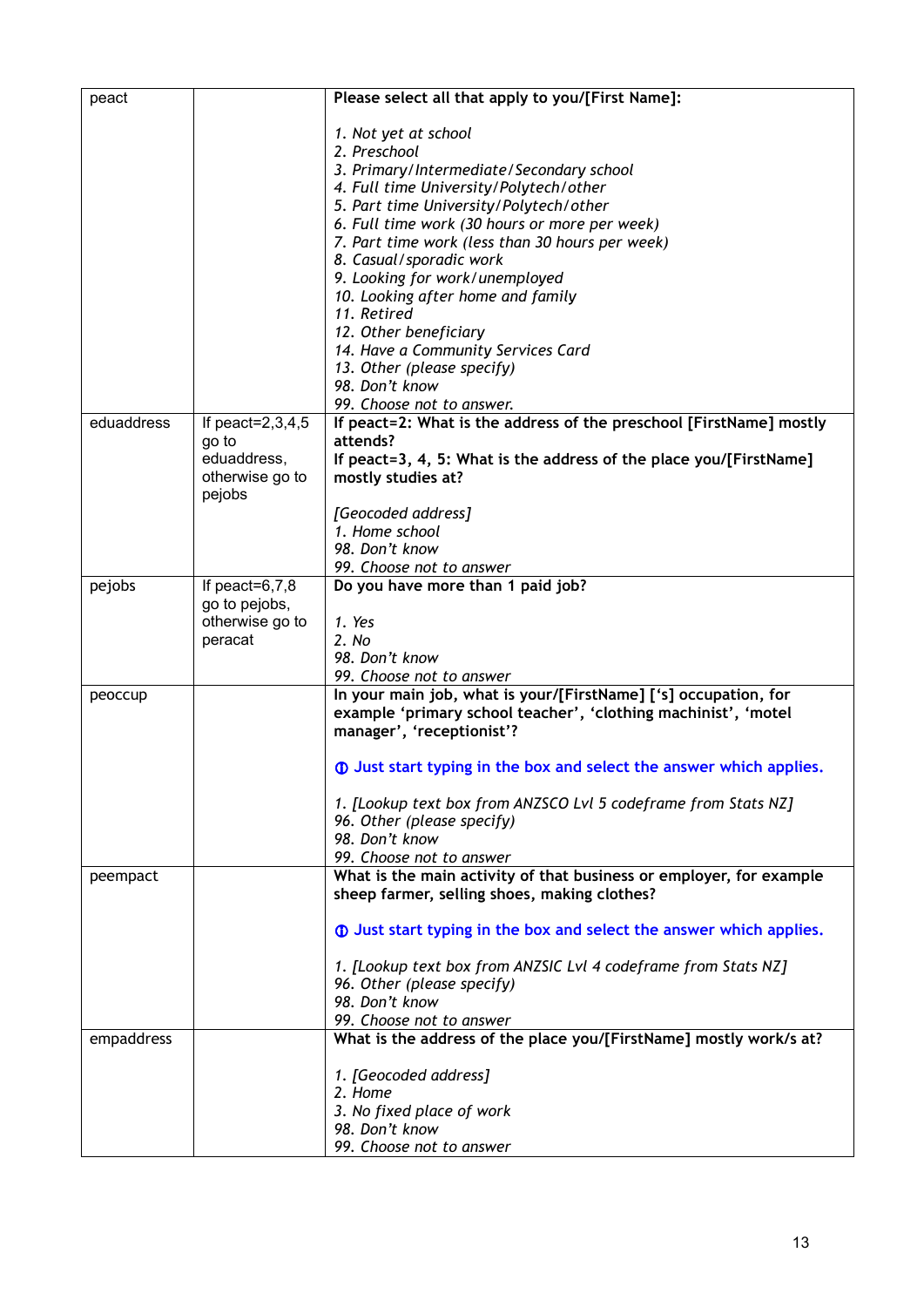| peact      |                                  | Please select all that apply to you/[First Name]:                          |
|------------|----------------------------------|----------------------------------------------------------------------------|
|            |                                  |                                                                            |
|            |                                  | 1. Not yet at school<br>2. Preschool                                       |
|            |                                  | 3. Primary/Intermediate/Secondary school                                   |
|            |                                  | 4. Full time University/Polytech/other                                     |
|            |                                  | 5. Part time University/Polytech/other                                     |
|            |                                  | 6. Full time work (30 hours or more per week)                              |
|            |                                  | 7. Part time work (less than 30 hours per week)                            |
|            |                                  | 8. Casual/sporadic work                                                    |
|            |                                  | 9. Looking for work/unemployed                                             |
|            |                                  | 10. Looking after home and family                                          |
|            |                                  | 11. Retired                                                                |
|            |                                  | 12. Other beneficiary<br>14. Have a Community Services Card                |
|            |                                  | 13. Other (please specify)                                                 |
|            |                                  | 98. Don't know                                                             |
|            |                                  | 99. Choose not to answer.                                                  |
| eduaddress | If peact= $2,3,4,5$              | If peact=2: What is the address of the preschool [FirstName] mostly        |
|            | go to                            | attends?                                                                   |
|            | eduaddress,                      | If peact=3, 4, 5: What is the address of the place you/[FirstName]         |
|            | otherwise go to<br>pejobs        | mostly studies at?                                                         |
|            |                                  | [Geocoded address]                                                         |
|            |                                  | 1. Home school                                                             |
|            |                                  | 98. Don't know                                                             |
|            |                                  | 99. Choose not to answer                                                   |
| pejobs     | If peact= $6,7,8$                | Do you have more than 1 paid job?                                          |
|            | go to pejobs,<br>otherwise go to | 1. Yes                                                                     |
|            | peracat                          | 2. No                                                                      |
|            |                                  | 98. Don't know                                                             |
|            |                                  | 99. Choose not to answer                                                   |
| peoccup    |                                  | In your main job, what is your/[FirstName] ['s] occupation, for            |
|            |                                  | example 'primary school teacher', 'clothing machinist', 'motel             |
|            |                                  | manager', 'receptionist'?                                                  |
|            |                                  |                                                                            |
|            |                                  | <b>1</b> Just start typing in the box and select the answer which applies. |
|            |                                  | 1. [Lookup text box from ANZSCO Lvl 5 codeframe from Stats NZ]             |
|            |                                  | 96. Other (please specify)                                                 |
|            |                                  | 98. Don't know                                                             |
|            |                                  | 99. Choose not to answer                                                   |
| peempact   |                                  | What is the main activity of that business or employer, for example        |
|            |                                  | sheep farmer, selling shoes, making clothes?                               |
|            |                                  | <b>1</b> Just start typing in the box and select the answer which applies. |
|            |                                  | 1. [Lookup text box from ANZSIC Lvl 4 codeframe from Stats NZ]             |
|            |                                  | 96. Other (please specify)                                                 |
|            |                                  | 98. Don't know                                                             |
|            |                                  | 99. Choose not to answer                                                   |
| empaddress |                                  | What is the address of the place you/[FirstName] mostly work/s at?         |
|            |                                  |                                                                            |
|            |                                  | 1. [Geocoded address]<br>2. Home                                           |
|            |                                  | 3. No fixed place of work                                                  |
|            |                                  | 98. Don't know                                                             |
|            |                                  | 99. Choose not to answer                                                   |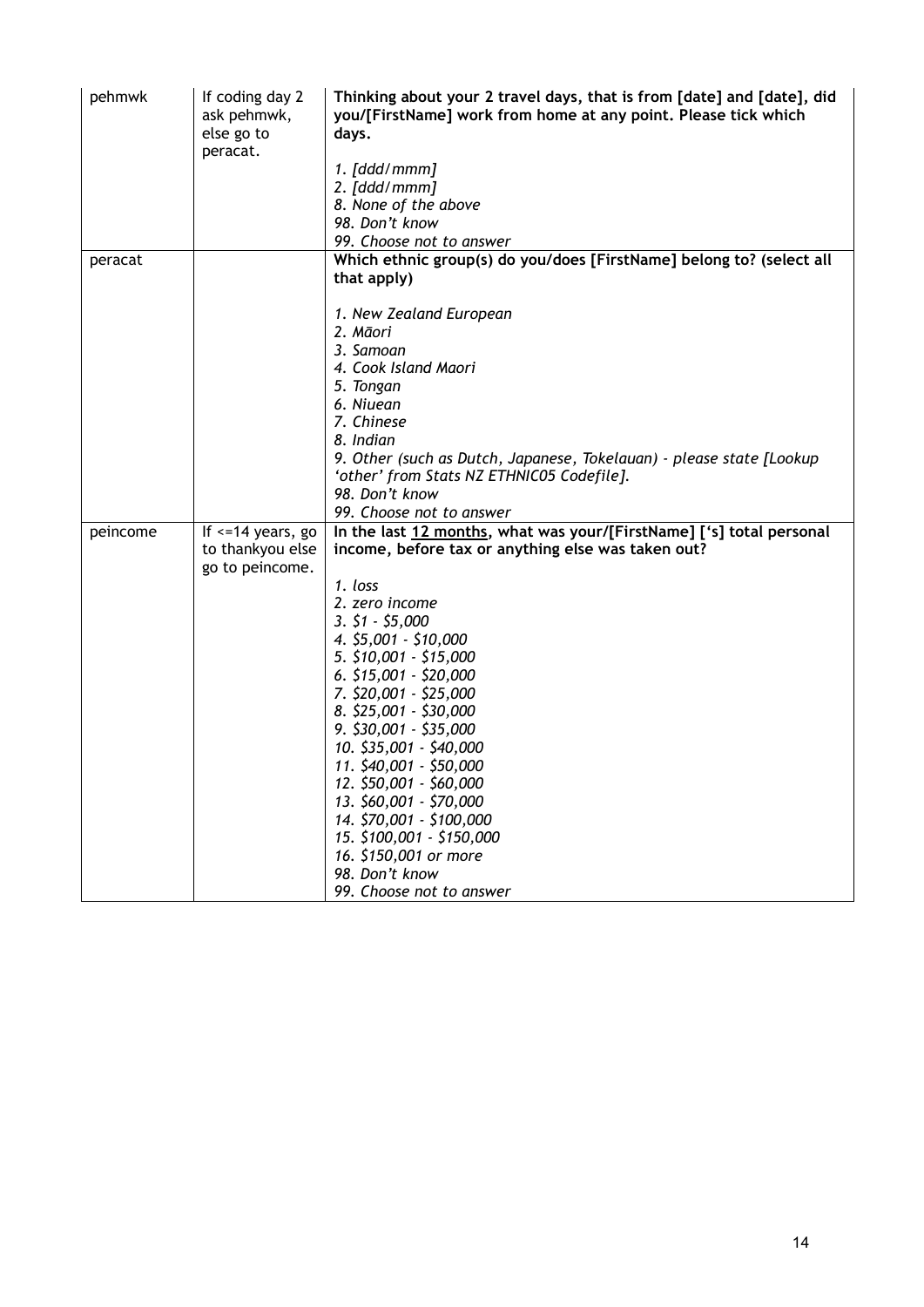| pehmwk   | If coding day 2<br>ask pehmwk,<br>else go to<br>peracat. | Thinking about your 2 travel days, that is from [date] and [date], did<br>you/[FirstName] work from home at any point. Please tick which<br>days. |
|----------|----------------------------------------------------------|---------------------------------------------------------------------------------------------------------------------------------------------------|
|          |                                                          | 1. [ddd/mmm]                                                                                                                                      |
|          |                                                          | 2. [ddd/mm]                                                                                                                                       |
|          |                                                          | 8. None of the above                                                                                                                              |
|          |                                                          | 98. Don't know                                                                                                                                    |
|          |                                                          | 99. Choose not to answer<br>Which ethnic group(s) do you/does [FirstName] belong to? (select all                                                  |
| peracat  |                                                          | that apply)                                                                                                                                       |
|          |                                                          | 1. New Zealand European                                                                                                                           |
|          |                                                          | 2. Māori                                                                                                                                          |
|          |                                                          | 3. Samoan                                                                                                                                         |
|          |                                                          | 4. Cook Island Maori                                                                                                                              |
|          |                                                          | 5. Tongan                                                                                                                                         |
|          |                                                          | 6. Niuean                                                                                                                                         |
|          |                                                          | 7. Chinese                                                                                                                                        |
|          |                                                          | 8. Indian                                                                                                                                         |
|          |                                                          | 9. Other (such as Dutch, Japanese, Tokelauan) - please state [Lookup                                                                              |
|          |                                                          | 'other' from Stats NZ ETHNIC05 Codefile].<br>98. Don't know                                                                                       |
|          |                                                          | 99. Choose not to answer                                                                                                                          |
| peincome | If $\le$ =14 years, go                                   | In the last 12 months, what was your/[FirstName] ['s] total personal                                                                              |
|          | to thankyou else                                         | income, before tax or anything else was taken out?                                                                                                |
|          | go to peincome.                                          |                                                                                                                                                   |
|          |                                                          | 1. loss                                                                                                                                           |
|          |                                                          | 2. zero income                                                                                                                                    |
|          |                                                          | $3. \, 51 - 55,000$                                                                                                                               |
|          |                                                          | 4. \$5,001 - \$10,000                                                                                                                             |
|          |                                                          | 5. \$10,001 - \$15,000                                                                                                                            |
|          |                                                          | $6.$ \$15,001 - \$20,000                                                                                                                          |
|          |                                                          | 7. \$20,001 - \$25,000                                                                                                                            |
|          |                                                          | 8. \$25,001 - \$30,000                                                                                                                            |
|          |                                                          | $9.$ \$30,001 - \$35,000                                                                                                                          |
|          |                                                          | 10. \$35,001 - \$40,000                                                                                                                           |
|          |                                                          | 11. \$40,001 - \$50,000                                                                                                                           |
|          |                                                          | 12. \$50,001 - \$60,000                                                                                                                           |
|          |                                                          | 13. \$60,001 - \$70,000                                                                                                                           |
|          |                                                          | 14. \$70,001 - \$100,000                                                                                                                          |
|          |                                                          | 15. \$100,001 - \$150,000                                                                                                                         |
|          |                                                          | 16. \$150,001 or more                                                                                                                             |
|          |                                                          | 98. Don't know                                                                                                                                    |
|          |                                                          | 99. Choose not to answer                                                                                                                          |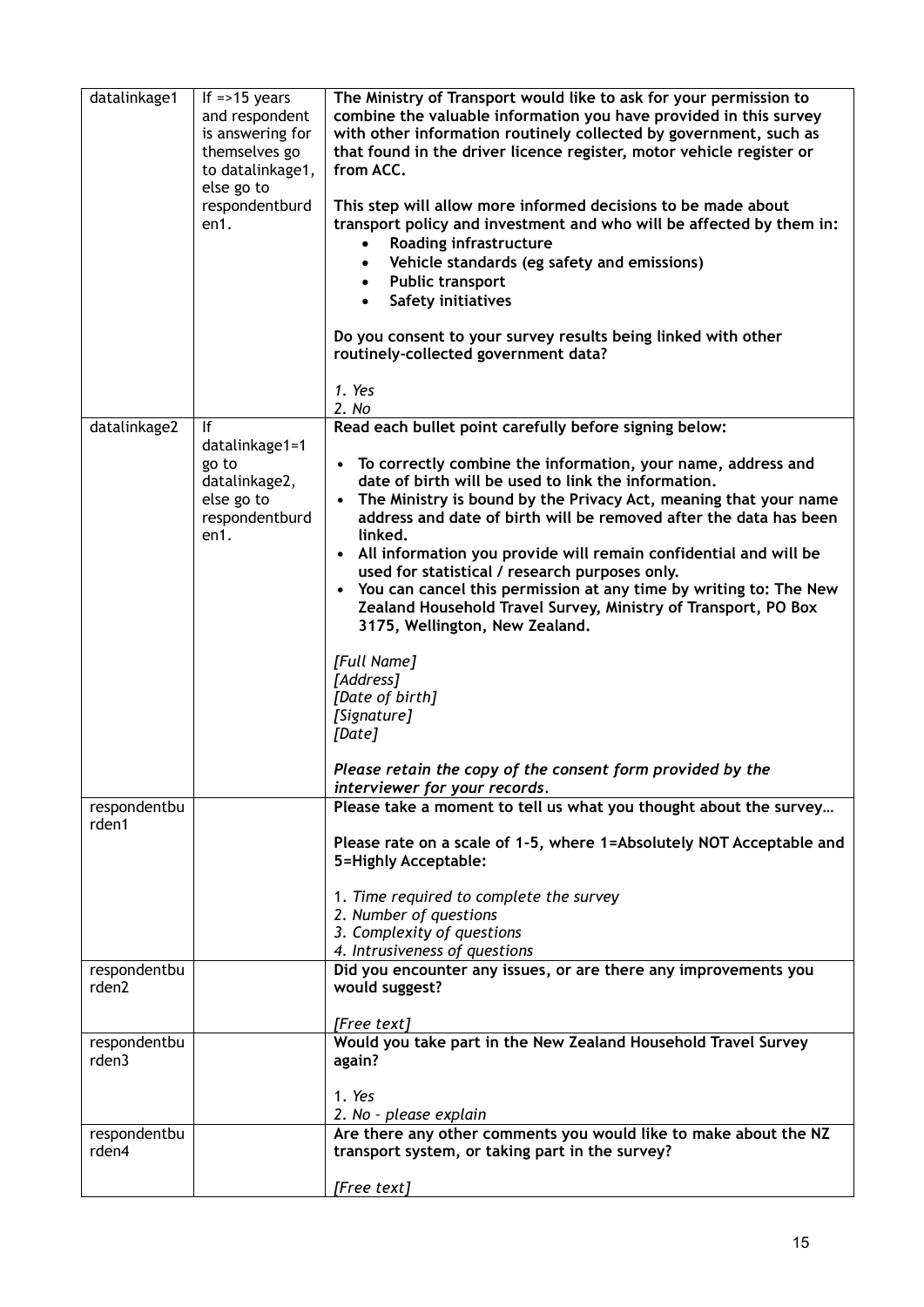| datalinkage1          | If = > 15 years<br>and respondent<br>is answering for<br>themselves go<br>to datalinkage1,<br>else go to<br>respondentburd<br>en1. | The Ministry of Transport would like to ask for your permission to<br>combine the valuable information you have provided in this survey<br>with other information routinely collected by government, such as<br>that found in the driver licence register, motor vehicle register or<br>from ACC.<br>This step will allow more informed decisions to be made about<br>transport policy and investment and who will be affected by them in:<br>Roading infrastructure<br>Vehicle standards (eg safety and emissions)<br>$\bullet$<br><b>Public transport</b><br>$\bullet$<br><b>Safety initiatives</b><br>$\bullet$<br>Do you consent to your survey results being linked with other<br>routinely-collected government data?<br>1. Yes                                          |
|-----------------------|------------------------------------------------------------------------------------------------------------------------------------|--------------------------------------------------------------------------------------------------------------------------------------------------------------------------------------------------------------------------------------------------------------------------------------------------------------------------------------------------------------------------------------------------------------------------------------------------------------------------------------------------------------------------------------------------------------------------------------------------------------------------------------------------------------------------------------------------------------------------------------------------------------------------------|
|                       |                                                                                                                                    | 2. No                                                                                                                                                                                                                                                                                                                                                                                                                                                                                                                                                                                                                                                                                                                                                                          |
| datalinkage2          | If<br>datalinkage1=1<br>go to<br>datalinkage2,<br>else go to<br>respondentburd<br>en1.                                             | Read each bullet point carefully before signing below:<br>• To correctly combine the information, your name, address and<br>date of birth will be used to link the information.<br>• The Ministry is bound by the Privacy Act, meaning that your name<br>address and date of birth will be removed after the data has been<br>linked.<br>• All information you provide will remain confidential and will be<br>used for statistical / research purposes only.<br>• You can cancel this permission at any time by writing to: The New<br>Zealand Household Travel Survey, Ministry of Transport, PO Box<br>3175, Wellington, New Zealand.<br>[Full Name]<br>[Address]<br>[Date of birth]<br>[Signature]<br>[Date]<br>Please retain the copy of the consent form provided by the |
|                       |                                                                                                                                    | interviewer for your records.                                                                                                                                                                                                                                                                                                                                                                                                                                                                                                                                                                                                                                                                                                                                                  |
| respondentbu<br>rden1 |                                                                                                                                    | Please take a moment to tell us what you thought about the survey<br>Please rate on a scale of 1-5, where 1=Absolutely NOT Acceptable and<br>5=Highly Acceptable:<br>1. Time required to complete the survey<br>2. Number of questions<br>3. Complexity of questions<br>4. Intrusiveness of questions                                                                                                                                                                                                                                                                                                                                                                                                                                                                          |
| respondentbu<br>rden2 |                                                                                                                                    | Did you encounter any issues, or are there any improvements you<br>would suggest?                                                                                                                                                                                                                                                                                                                                                                                                                                                                                                                                                                                                                                                                                              |
| respondentbu<br>rden3 |                                                                                                                                    | [Free text]<br>Would you take part in the New Zealand Household Travel Survey<br>again?<br>1. Yes<br>2. No - please explain                                                                                                                                                                                                                                                                                                                                                                                                                                                                                                                                                                                                                                                    |
| respondentbu<br>rden4 |                                                                                                                                    | Are there any other comments you would like to make about the NZ<br>transport system, or taking part in the survey?<br>[Free text]                                                                                                                                                                                                                                                                                                                                                                                                                                                                                                                                                                                                                                             |